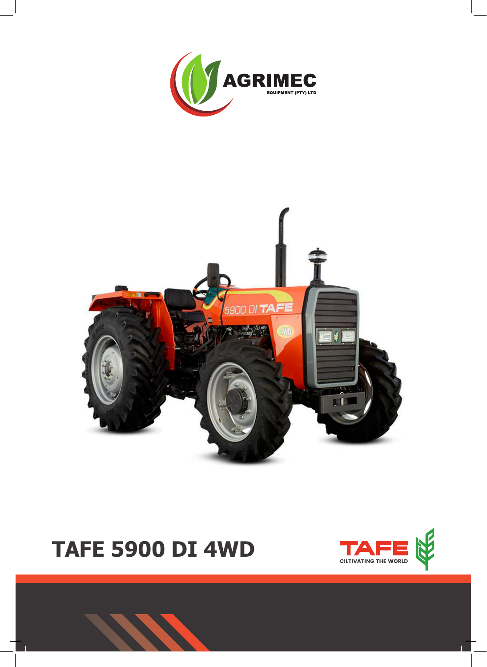





# **TAFE 5900 DI 4WD**